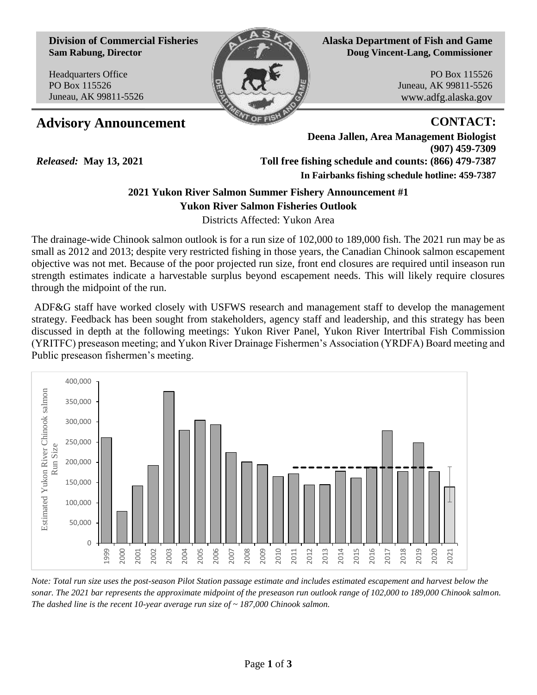**Division of Commercial Fisheries Sam Rabung, Director**

Headquarters Office PO Box 115526 Juneau, AK 99811-5526

*Released:* **May 13, 2021**



**Alaska Department of Fish and Game Doug Vincent-Lang, Commissioner**

> PO Box 115526 Juneau, AK 99811-5526 www.adfg.alaska.gov

## **Advisory Announcement CONTACT:**

**Deena Jallen, Area Management Biologist (907) 459-7309 Toll free fishing schedule and counts: (866) 479-7387 In Fairbanks fishing schedule hotline: 459-7387** 

# **2021 Yukon River Salmon Summer Fishery Announcement #1**

**Yukon River Salmon Fisheries Outlook** 

Districts Affected: Yukon Area

The drainage-wide Chinook salmon outlook is for a run size of 102,000 to 189,000 fish. The 2021 run may be as small as 2012 and 2013; despite very restricted fishing in those years, the Canadian Chinook salmon escapement objective was not met. Because of the poor projected run size, front end closures are required until inseason run strength estimates indicate a harvestable surplus beyond escapement needs. This will likely require closures through the midpoint of the run.

ADF&G staff have worked closely with USFWS research and management staff to develop the management strategy. Feedback has been sought from stakeholders, agency staff and leadership, and this strategy has been discussed in depth at the following meetings: Yukon River Panel, Yukon River Intertribal Fish Commission (YRITFC) preseason meeting; and Yukon River Drainage Fishermen's Association (YRDFA) Board meeting and Public preseason fishermen's meeting.



*Note: Total run size uses the post-season Pilot Station passage estimate and includes estimated escapement and harvest below the sonar. The 2021 bar represents the approximate midpoint of the preseason run outlook range of 102,000 to 189,000 Chinook salmon. The dashed line is the recent 10-year average run size of ~ 187,000 Chinook salmon.*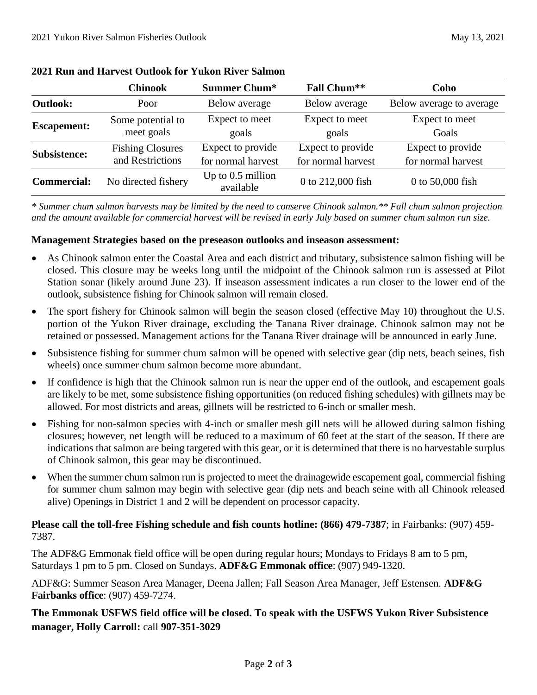|                    | <b>Chinook</b>                              | <b>Summer Chum*</b>                     | <b>Fall Chum**</b>                      | Coho                                    |
|--------------------|---------------------------------------------|-----------------------------------------|-----------------------------------------|-----------------------------------------|
| <b>Outlook:</b>    | Poor                                        | Below average                           | Below average                           | Below average to average                |
| <b>Escapement:</b> | Some potential to<br>meet goals             | Expect to meet<br>goals                 | Expect to meet<br>goals                 | Expect to meet<br>Goals                 |
| Subsistence:       | <b>Fishing Closures</b><br>and Restrictions | Expect to provide<br>for normal harvest | Expect to provide<br>for normal harvest | Expect to provide<br>for normal harvest |
| <b>Commercial:</b> | No directed fishery                         | Up to $0.5$ million<br>available        | 0 to 212,000 fish                       | 0 to 50,000 fish                        |

#### **2021 Run and Harvest Outlook for Yukon River Salmon**

*\* Summer chum salmon harvests may be limited by the need to conserve Chinook salmon.\*\* Fall chum salmon projection and the amount available for commercial harvest will be revised in early July based on summer chum salmon run size.* 

### **Management Strategies based on the preseason outlooks and inseason assessment:**

- As Chinook salmon enter the Coastal Area and each district and tributary, subsistence salmon fishing will be closed. This closure may be weeks long until the midpoint of the Chinook salmon run is assessed at Pilot Station sonar (likely around June 23). If inseason assessment indicates a run closer to the lower end of the outlook, subsistence fishing for Chinook salmon will remain closed.
- The sport fishery for Chinook salmon will begin the season closed (effective May 10) throughout the U.S. portion of the Yukon River drainage, excluding the Tanana River drainage. Chinook salmon may not be retained or possessed. Management actions for the Tanana River drainage will be announced in early June.
- Subsistence fishing for summer chum salmon will be opened with selective gear (dip nets, beach seines, fish wheels) once summer chum salmon become more abundant.
- If confidence is high that the Chinook salmon run is near the upper end of the outlook, and escapement goals are likely to be met, some subsistence fishing opportunities (on reduced fishing schedules) with gillnets may be allowed. For most districts and areas, gillnets will be restricted to 6-inch or smaller mesh.
- Fishing for non-salmon species with 4-inch or smaller mesh gill nets will be allowed during salmon fishing closures; however, net length will be reduced to a maximum of 60 feet at the start of the season. If there are indications that salmon are being targeted with this gear, or it is determined that there is no harvestable surplus of Chinook salmon, this gear may be discontinued.
- When the summer chum salmon run is projected to meet the drainagewide escapement goal, commercial fishing for summer chum salmon may begin with selective gear (dip nets and beach seine with all Chinook released alive) Openings in District 1 and 2 will be dependent on processor capacity.

### **Please call the toll-free Fishing schedule and fish counts hotline: (866) 479-7387**; in Fairbanks: (907) 459- 7387.

The ADF&G Emmonak field office will be open during regular hours; Mondays to Fridays 8 am to 5 pm, Saturdays 1 pm to 5 pm. Closed on Sundays. **ADF&G Emmonak office**: (907) 949-1320.

ADF&G: Summer Season Area Manager, Deena Jallen; Fall Season Area Manager, Jeff Estensen. **ADF&G Fairbanks office**: (907) 459-7274.

## **The Emmonak USFWS field office will be closed. To speak with the USFWS Yukon River Subsistence manager, Holly Carroll:** call **907-351-3029**